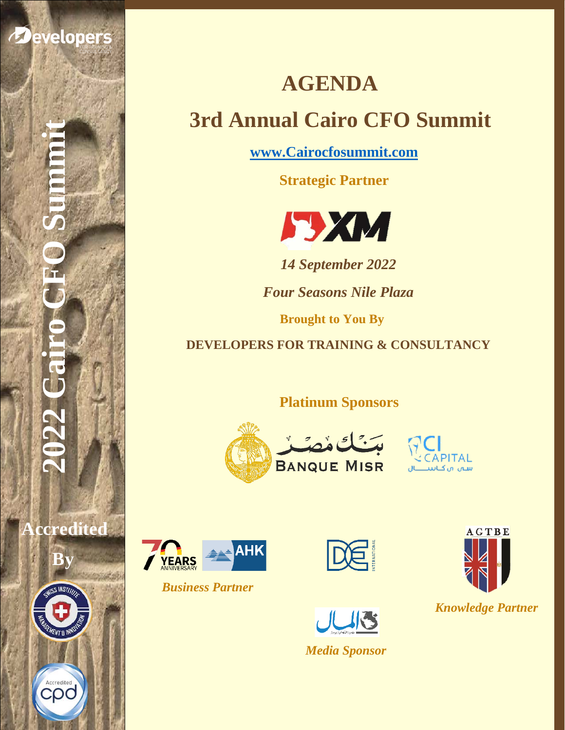

Developers

**Accredited** 

**By**

Accredited<br>COO

**AGENDA 3rd Annual Cairo CFO Summit** 

**[www.Cairocfosummit.com](http://www.cairocfosummit.com/)**

**Strategic Partner**



*14 September 2022*

*Four Seasons Nile Plaza* 

**Brought to You By**

**DEVELOPERS FOR TRAINING & CONSULTANCY**

 **Platinum Sponsors**









*Business Partner*





*Media Sponsor*



*Knowledge Partner*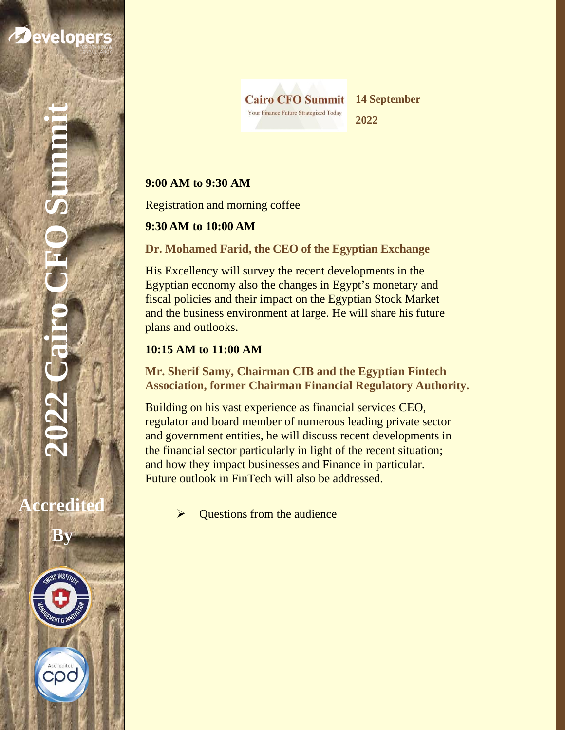

**Accredited** 

**By**

Accredited COC

ss

**Cairo CFO Summit** Your Finance Future Strategized Today

**14 September** 

**2022**

## **9:00 AM to 9:30 AM**

Registration and morning coffee

### **9:30 AM to 10:00 AM**

**Dr. Mohamed Farid, the CEO of the Egyptian Exchange**

His Excellency will survey the recent developments in the Egyptian economy also the changes in Egypt's monetary and fiscal policies and their impact on the Egyptian Stock Market and the business environment at large. He will share his future plans and outlooks.

### **10:15 AM to 11:00 AM**

**Mr. Sherif Samy, Chairman CIB and the Egyptian Fintech Association, former Chairman Financial Regulatory Authority.**

Building on his vast experience as financial services CEO, regulator and board member of numerous leading private sector and government entities, he will discuss recent developments in the financial sector particularly in light of the recent situation; and how they impact businesses and Finance in particular. Future outlook in FinTech will also be addressed.

Questions from the audience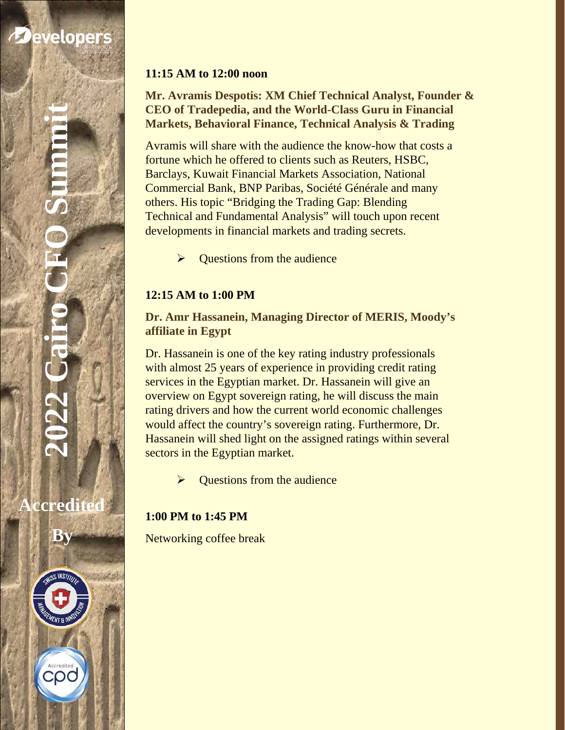# **2022 Cairo CFO Summit**

**Accredited** 

**By**

Accredited COO

ss

### **11:15 AM to 12:00 noon**

**Mr. Avramis Despotis: XM Chief Technical Analyst, Founder & CEO of Tradepedia, and the World-Class Guru in Financial Markets, Behavioral Finance, Technical Analysis & Trading** 

Avramis will share with the audience the know-how that costs a fortune which he offered to clients such as Reuters, HSBC, Barclays, Kuwait Financial Markets Association, National Commercial Bank, BNP Paribas, Société Générale and many others. His topic "Bridging the Trading Gap: Blending Technical and Fundamental Analysis" will touch upon recent developments in financial markets and trading secrets.

 $\triangleright$  Questions from the audience

## **12:15 AM to 1:00 PM**

### **Dr. Amr Hassanein, Managing Director of MERIS, Moody's affiliate in Egypt**

Dr. Hassanein is one of the key rating industry professionals with almost 25 years of experience in providing credit rating services in the Egyptian market. Dr. Hassanein will give an overview on Egypt sovereign rating, he will discuss the main rating drivers and how the current world economic challenges would affect the country's sovereign rating. Furthermore, Dr. Hassanein will shed light on the assigned ratings within several sectors in the Egyptian market.

Questions from the audience

# **1:00 PM to 1:45 PM**

Networking coffee break